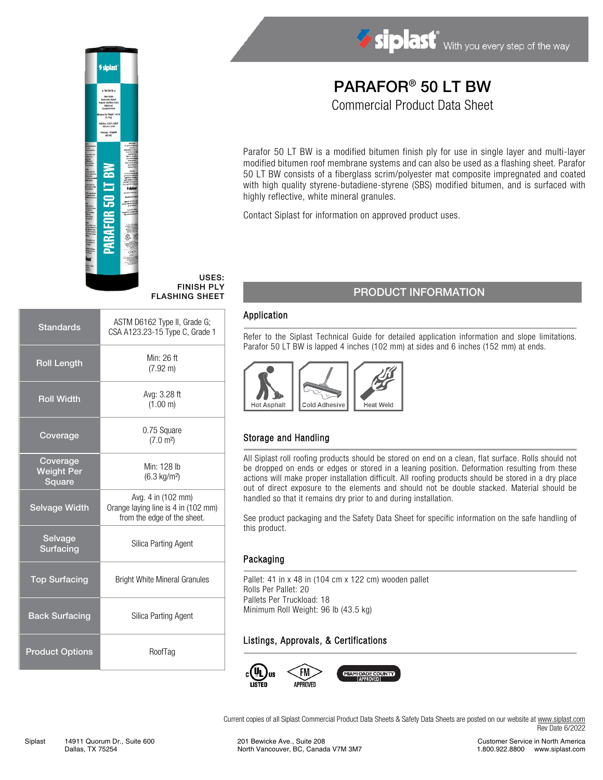

# PARAFOR® 50 LT BW Commercial Product Data Sheet

Parafor 50 LT BW is a modified bitumen finish ply for use in single layer and multi-layer modified bitumen roof membrane systems and can also be used as a flashing sheet. Parafor 50 LT BW consists of a fiberglass scrim/polyester mat composite impregnated and coated with high quality styrene-butadiene-styrene (SBS) modified bitumen, and is surfaced with highly reflective, white mineral granules.

Contact Siplast for information on approved product uses.

### PRODUCT INFORMATION

#### Application

USES: FINISH PLY FLASHING SHEET

> Refer to the Siplast Technical Guide for detailed application information and slope limitations. Parafor 50 LT BW is lapped 4 inches (102 mm) at sides and 6 inches (152 mm) at ends.



### Storage and Handling

All Siplast roll roofing products should be stored on end on a clean, flat surface. Rolls should not be dropped on ends or edges or stored in a leaning position. Deformation resulting from these actions will make proper installation difficult. All roofing products should be stored in a dry place out of direct exposure to the elements and should not be double stacked. Material should be handled so that it remains dry prior to and during installation.

See product packaging and the Safety Data Sheet for specific information on the safe handling of this product.

#### Packaging

Pallet: 41 in x 48 in (104 cm x 122 cm) wooden pallet Rolls Per Pallet: 20 Pallets Per Truckload: 18 Minimum Roll Weight: 96 lb (43.5 kg)

#### Listings, Approvals, & Certifications



Current copies of all Siplast Commercial Product Data Sheets & Safety Data Sheets are posted on our website a[t www.siplast.com](http://www.siplast.com/) Rev Date 6/2022



*⁄* siplas

|                                                | $0.111120.1011$ iverse of did to $0.01111$                                               |  |
|------------------------------------------------|------------------------------------------------------------------------------------------|--|
| <b>Roll Length</b>                             | Min: 26 ft<br>$(7.92 \text{ m})$                                                         |  |
| <b>Roll Width</b>                              | Avg: 3.28 ft<br>(1.00 m)                                                                 |  |
| Coverage                                       | 0.75 Square<br>(7.0 m <sup>2</sup> )                                                     |  |
| Coverage<br><b>Weight Per</b><br><b>Square</b> | Min: 128 lb<br>$(6.3 \text{ kg/m}^2)$                                                    |  |
| <b>Selvage Width</b>                           | Avg. 4 in (102 mm)<br>Orange laying line is 4 in (102 mm)<br>from the edge of the sheet. |  |
| Selvage<br>Surfacing                           | Silica Parting Agent                                                                     |  |
| <b>Top Surfacing</b>                           | <b>Bright White Mineral Granules</b>                                                     |  |
| <b>Back Surfacing</b>                          | Silica Parting Agent                                                                     |  |
| <b>Product Options</b>                         | RoofTag                                                                                  |  |